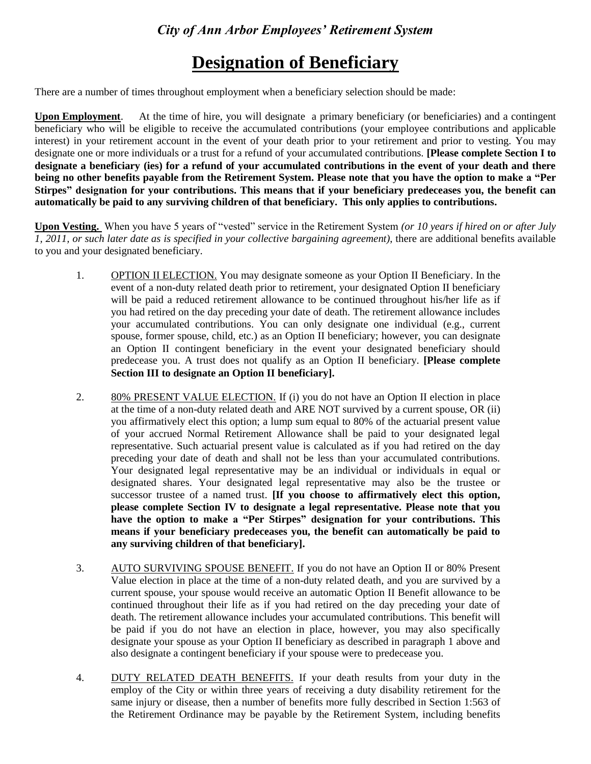# **Designation of Beneficiary**

There are a number of times throughout employment when a beneficiary selection should be made:

**Upon Employment**. At the time of hire, you will designate a primary beneficiary (or beneficiaries) and a contingent beneficiary who will be eligible to receive the accumulated contributions (your employee contributions and applicable interest) in your retirement account in the event of your death prior to your retirement and prior to vesting. You may designate one or more individuals or a trust for a refund of your accumulated contributions. **[Please complete Section I to designate a beneficiary (ies) for a refund of your accumulated contributions in the event of your death and there being no other benefits payable from the Retirement System. Please note that you have the option to make a "Per Stirpes" designation for your contributions. This means that if your beneficiary predeceases you, the benefit can automatically be paid to any surviving children of that beneficiary. This only applies to contributions.** 

**Upon Vesting.** When you have 5 years of "vested" service in the Retirement System *(or 10 years if hired on or after July 1, 2011, or such later date as is specified in your collective bargaining agreement)*, there are additional benefits available to you and your designated beneficiary.

- 1. OPTION II ELECTION. You may designate someone as your Option II Beneficiary. In the event of a non-duty related death prior to retirement, your designated Option II beneficiary will be paid a reduced retirement allowance to be continued throughout his/her life as if you had retired on the day preceding your date of death. The retirement allowance includes your accumulated contributions. You can only designate one individual (e.g., current spouse, former spouse, child, etc.) as an Option II beneficiary; however, you can designate an Option II contingent beneficiary in the event your designated beneficiary should predecease you. A trust does not qualify as an Option II beneficiary. **[Please complete Section III to designate an Option II beneficiary].**
- 2. 80% PRESENT VALUE ELECTION. If (i) you do not have an Option II election in place at the time of a non-duty related death and ARE NOT survived by a current spouse, OR (ii) you affirmatively elect this option; a lump sum equal to 80% of the actuarial present value of your accrued Normal Retirement Allowance shall be paid to your designated legal representative. Such actuarial present value is calculated as if you had retired on the day preceding your date of death and shall not be less than your accumulated contributions. Your designated legal representative may be an individual or individuals in equal or designated shares. Your designated legal representative may also be the trustee or successor trustee of a named trust. **[If you choose to affirmatively elect this option, please complete Section IV to designate a legal representative. Please note that you have the option to make a "Per Stirpes" designation for your contributions. This means if your beneficiary predeceases you, the benefit can automatically be paid to any surviving children of that beneficiary].**
- 3. AUTO SURVIVING SPOUSE BENEFIT. If you do not have an Option II or 80% Present Value election in place at the time of a non-duty related death, and you are survived by a current spouse, your spouse would receive an automatic Option II Benefit allowance to be continued throughout their life as if you had retired on the day preceding your date of death. The retirement allowance includes your accumulated contributions. This benefit will be paid if you do not have an election in place, however, you may also specifically designate your spouse as your Option II beneficiary as described in paragraph 1 above and also designate a contingent beneficiary if your spouse were to predecease you.
- 4. DUTY RELATED DEATH BENEFITS. If your death results from your duty in the employ of the City or within three years of receiving a duty disability retirement for the same injury or disease, then a number of benefits more fully described in Section 1:563 of the Retirement Ordinance may be payable by the Retirement System, including benefits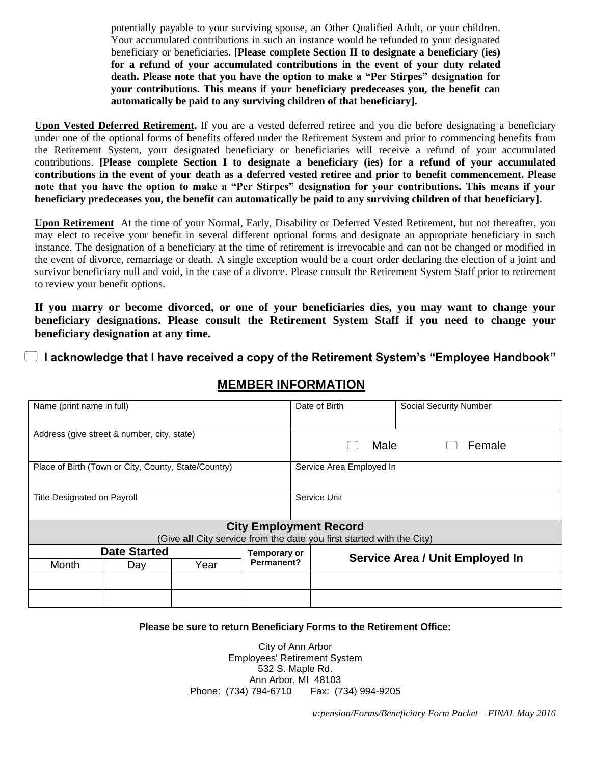potentially payable to your surviving spouse, an Other Qualified Adult, or your children. Your accumulated contributions in such an instance would be refunded to your designated beneficiary or beneficiaries. **[Please complete Section II to designate a beneficiary (ies) for a refund of your accumulated contributions in the event of your duty related death. Please note that you have the option to make a "Per Stirpes" designation for your contributions. This means if your beneficiary predeceases you, the benefit can automatically be paid to any surviving children of that beneficiary].**

**Upon Vested Deferred Retirement.** If you are a vested deferred retiree and you die before designating a beneficiary under one of the optional forms of benefits offered under the Retirement System and prior to commencing benefits from the Retirement System, your designated beneficiary or beneficiaries will receive a refund of your accumulated contributions. **[Please complete Section I to designate a beneficiary (ies) for a refund of your accumulated contributions in the event of your death as a deferred vested retiree and prior to benefit commencement. Please note that you have the option to make a "Per Stirpes" designation for your contributions. This means if your beneficiary predeceases you, the benefit can automatically be paid to any surviving children of that beneficiary].**

**Upon Retirement** At the time of your Normal, Early, Disability or Deferred Vested Retirement, but not thereafter, you may elect to receive your benefit in several different optional forms and designate an appropriate beneficiary in such instance. The designation of a beneficiary at the time of retirement is irrevocable and can not be changed or modified in the event of divorce, remarriage or death. A single exception would be a court order declaring the election of a joint and survivor beneficiary null and void, in the case of a divorce. Please consult the Retirement System Staff prior to retirement to review your benefit options.

**If you marry or become divorced, or one of your beneficiaries dies, you may want to change your beneficiary designations. Please consult the Retirement System Staff if you need to change your beneficiary designation at any time.**

**I acknowledge that I have received a copy of the Retirement System's "Employee Handbook"**

| Name (print name in full)                                             |     |      | Date of Birth            | <b>Social Security Number</b> |                                        |  |
|-----------------------------------------------------------------------|-----|------|--------------------------|-------------------------------|----------------------------------------|--|
| Address (give street & number, city, state)                           |     |      | Female<br>Male           |                               |                                        |  |
| Place of Birth (Town or City, County, State/Country)                  |     |      | Service Area Employed In |                               |                                        |  |
| Title Designated on Payroll                                           |     |      | Service Unit             |                               |                                        |  |
|                                                                       |     |      |                          | <b>City Employment Record</b> |                                        |  |
| (Give all City service from the date you first started with the City) |     |      |                          |                               |                                        |  |
| <b>Date Started</b>                                                   |     |      | <b>Temporary or</b>      |                               | <b>Service Area / Unit Employed In</b> |  |
| Month                                                                 | Day | Year | Permanent?               |                               |                                        |  |
|                                                                       |     |      |                          |                               |                                        |  |
|                                                                       |     |      |                          |                               |                                        |  |

# **MEMBER INFORMATION**

#### **Please be sure to return Beneficiary Forms to the Retirement Office:**

City of Ann Arbor Employees' Retirement System 532 S. Maple Rd. Ann Arbor, MI 48103 Phone: (734) 794-6710 Fax: (734) 994-9205

*u:pension/Forms/Beneficiary Form Packet – FINAL May 2016*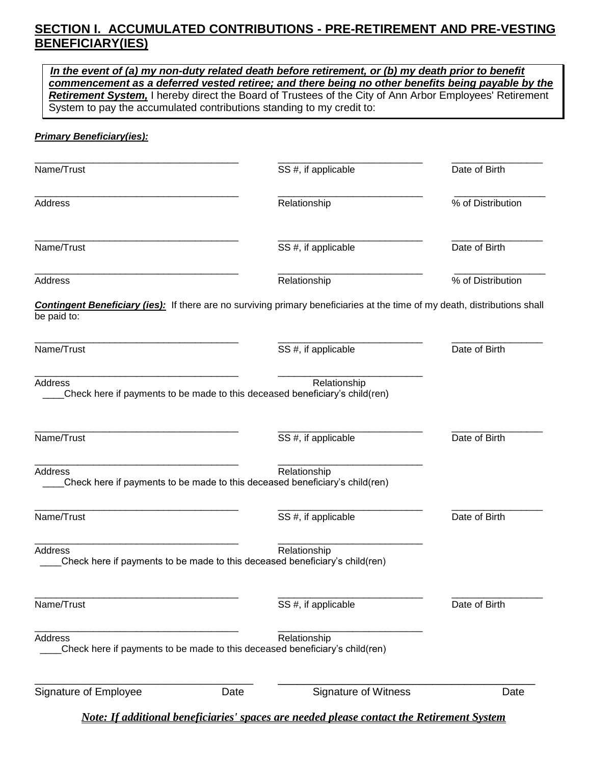# **SECTION I. ACCUMULATED CONTRIBUTIONS - PRE-RETIREMENT AND PRE-VESTING BENEFICIARY(IES)**

| In the event of (a) my non-duty related death before retirement, or (b) my death prior to benefit<br>commencement as a deferred vested retiree; and there being no other benefits being payable by the<br>Retirement System, I hereby direct the Board of Trustees of the City of Ann Arbor Employees' Retirement<br>System to pay the accumulated contributions standing to my credit to: |      |                                                                                                                                                          |                   |  |
|--------------------------------------------------------------------------------------------------------------------------------------------------------------------------------------------------------------------------------------------------------------------------------------------------------------------------------------------------------------------------------------------|------|----------------------------------------------------------------------------------------------------------------------------------------------------------|-------------------|--|
| <b>Primary Beneficiary(ies):</b>                                                                                                                                                                                                                                                                                                                                                           |      |                                                                                                                                                          |                   |  |
| Name/Trust                                                                                                                                                                                                                                                                                                                                                                                 |      | SS #, if applicable                                                                                                                                      | Date of Birth     |  |
| Address                                                                                                                                                                                                                                                                                                                                                                                    |      | Relationship                                                                                                                                             | % of Distribution |  |
| Name/Trust                                                                                                                                                                                                                                                                                                                                                                                 |      | SS #, if applicable                                                                                                                                      | Date of Birth     |  |
| Address                                                                                                                                                                                                                                                                                                                                                                                    |      | Relationship                                                                                                                                             | % of Distribution |  |
| be paid to:<br>Name/Trust                                                                                                                                                                                                                                                                                                                                                                  |      | <b>Contingent Beneficiary (ies):</b> If there are no surviving primary beneficiaries at the time of my death, distributions shall<br>SS #, if applicable | Date of Birth     |  |
| <b>Address</b>                                                                                                                                                                                                                                                                                                                                                                             |      | Relationship<br>Check here if payments to be made to this deceased beneficiary's child(ren)                                                              |                   |  |
| Name/Trust                                                                                                                                                                                                                                                                                                                                                                                 |      | SS #, if applicable                                                                                                                                      | Date of Birth     |  |
| Address                                                                                                                                                                                                                                                                                                                                                                                    |      | Relationship<br>Check here if payments to be made to this deceased beneficiary's child(ren)                                                              |                   |  |
| Name/Trust                                                                                                                                                                                                                                                                                                                                                                                 |      | SS #, if applicable                                                                                                                                      | Date of Birth     |  |
| <b>Address</b>                                                                                                                                                                                                                                                                                                                                                                             |      | Relationship<br>Check here if payments to be made to this deceased beneficiary's child(ren)                                                              |                   |  |
| Name/Trust                                                                                                                                                                                                                                                                                                                                                                                 |      | SS #, if applicable                                                                                                                                      | Date of Birth     |  |
| Address                                                                                                                                                                                                                                                                                                                                                                                    |      | Relationship<br>Check here if payments to be made to this deceased beneficiary's child(ren)                                                              |                   |  |
| Signature of Employee                                                                                                                                                                                                                                                                                                                                                                      | Date | <b>Signature of Witness</b>                                                                                                                              | Date              |  |

*Note: If additional beneficiaries' spaces are needed please contact the Retirement System*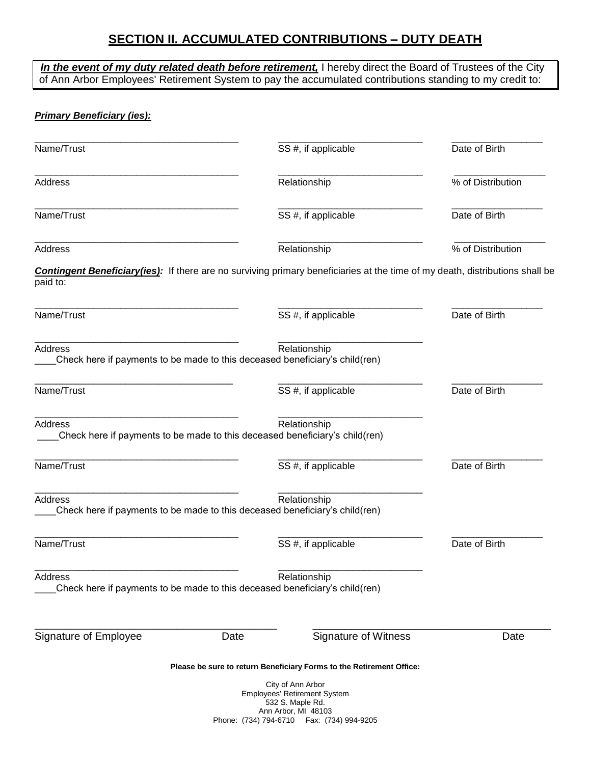# **SECTION II. ACCUMULATED CONTRIBUTIONS – DUTY DEATH**

|                                                                                                |      | In the event of my duty related death before retirement, I hereby direct the Board of Trustees of the City<br>of Ann Arbor Employees' Retirement System to pay the accumulated contributions standing to my credit to: |                   |
|------------------------------------------------------------------------------------------------|------|------------------------------------------------------------------------------------------------------------------------------------------------------------------------------------------------------------------------|-------------------|
| <b>Primary Beneficiary (ies):</b>                                                              |      |                                                                                                                                                                                                                        |                   |
| Name/Trust                                                                                     |      | SS #, if applicable                                                                                                                                                                                                    | Date of Birth     |
| <b>Address</b>                                                                                 |      | Relationship                                                                                                                                                                                                           | % of Distribution |
| Name/Trust                                                                                     |      | SS #, if applicable                                                                                                                                                                                                    | Date of Birth     |
| <b>Address</b>                                                                                 |      | Relationship                                                                                                                                                                                                           | % of Distribution |
| paid to:                                                                                       |      | <b>Contingent Beneficiary(ies):</b> If there are no surviving primary beneficiaries at the time of my death, distributions shall be                                                                                    |                   |
| Name/Trust                                                                                     |      | SS #, if applicable                                                                                                                                                                                                    | Date of Birth     |
| <b>Address</b><br>Check here if payments to be made to this deceased beneficiary's child(ren)  |      | Relationship                                                                                                                                                                                                           |                   |
| Name/Trust                                                                                     |      | SS #, if applicable                                                                                                                                                                                                    | Date of Birth     |
| <b>Address</b>                                                                                 |      | Relationship<br>Check here if payments to be made to this deceased beneficiary's child(ren)                                                                                                                            |                   |
| Name/Trust                                                                                     |      | SS #, if applicable                                                                                                                                                                                                    | Date of Birth     |
| Address<br>Check here if payments to be made to this deceased beneficiary's child(ren)         |      | Relationship                                                                                                                                                                                                           |                   |
| Name/Trust                                                                                     |      | SS #, if applicable                                                                                                                                                                                                    | Date of Birth     |
| <b>Address</b><br>Check here if payments to be made to this deceased beneficiary's child (ren) |      | Relationship                                                                                                                                                                                                           |                   |
| Signature of Employee                                                                          | Date | Signature of Witness                                                                                                                                                                                                   | Date              |
|                                                                                                |      | Please be sure to return Beneficiary Forms to the Retirement Office:                                                                                                                                                   |                   |
|                                                                                                |      | City of Ann Arbor<br><b>Employees' Retirement System</b><br>532 S. Maple Rd.<br>Ann Arbor, MI 48103<br>Phone: (734) 794-6710   Fax: (734) 994-9205                                                                     |                   |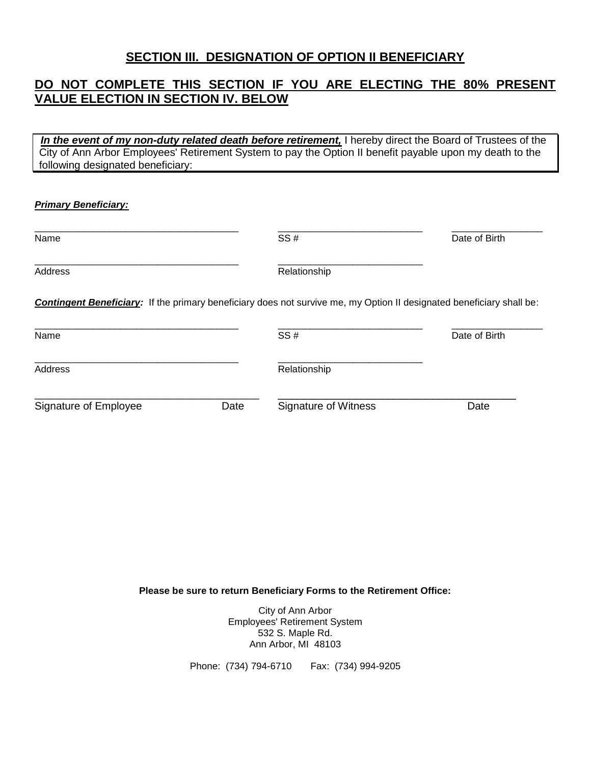### **SECTION III. DESIGNATION OF OPTION II BENEFICIARY**

### **DO NOT COMPLETE THIS SECTION IF YOU ARE ELECTING THE 80% PRESENT VALUE ELECTION IN SECTION IV. BELOW**

 *In the event of my non-duty related death before retirement,* I hereby direct the Board of Trustees of the City of Ann Arbor Employees' Retirement System to pay the Option II benefit payable upon my death to the following designated beneficiary:

#### *Primary Beneficiary:*

| Name                                                                                                                         |      | SS#                  | Date of Birth |
|------------------------------------------------------------------------------------------------------------------------------|------|----------------------|---------------|
| Address                                                                                                                      |      | Relationship         |               |
| <b>Contingent Beneficiary:</b> If the primary beneficiary does not survive me, my Option II designated beneficiary shall be: |      |                      |               |
| Name                                                                                                                         |      | SS#                  | Date of Birth |
| Address                                                                                                                      |      | Relationship         |               |
| Signature of Employee                                                                                                        | Date | Signature of Witness | Date          |

**Please be sure to return Beneficiary Forms to the Retirement Office:**

City of Ann Arbor Employees' Retirement System 532 S. Maple Rd. Ann Arbor, MI 48103

Phone: (734) 794-6710 Fax: (734) 994-9205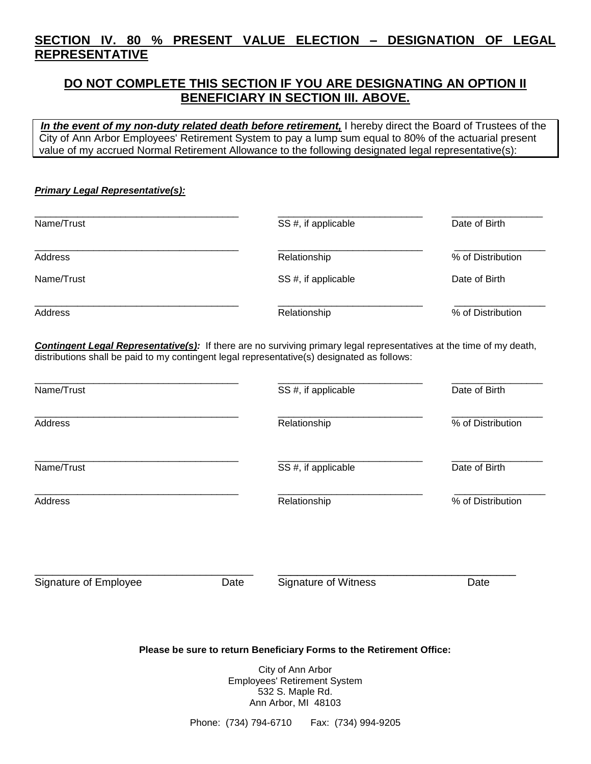# **SECTION IV. 80 % PRESENT VALUE ELECTION – DESIGNATION OF LEGAL REPRESENTATIVE**

## **DO NOT COMPLETE THIS SECTION IF YOU ARE DESIGNATING AN OPTION II BENEFICIARY IN SECTION III. ABOVE.**

 *In the event of my non-duty related death before retirement,* I hereby direct the Board of Trustees of the City of Ann Arbor Employees' Retirement System to pay a lump sum equal to 80% of the actuarial present value of my accrued Normal Retirement Allowance to the following designated legal representative(s):

#### *Primary Legal Representative(s):*

| Name/Trust | SS #, if applicable | Date of Birth     |
|------------|---------------------|-------------------|
| Address    | Relationship        | % of Distribution |
| Name/Trust | SS #, if applicable | Date of Birth     |
| Address    | Relationship        | % of Distribution |

*Contingent Legal Representative(s):* If there are no surviving primary legal representatives at the time of my death, distributions shall be paid to my contingent legal representative(s) designated as follows:

| Name/Trust<br>Address |                       | SS #, if applicable                                                                       | Date of Birth     |
|-----------------------|-----------------------|-------------------------------------------------------------------------------------------|-------------------|
|                       |                       | Relationship                                                                              | % of Distribution |
| Name/Trust            |                       | SS #, if applicable                                                                       | Date of Birth     |
| Address               |                       | Relationship                                                                              | % of Distribution |
| Signature of Employee | Date                  | <b>Signature of Witness</b>                                                               | Date              |
|                       |                       | Please be sure to return Beneficiary Forms to the Retirement Office:<br>City of Ann Arbor |                   |
|                       |                       | Employees' Retirement System<br>532 S. Maple Rd.<br>Ann Arbor, MI 48103                   |                   |
|                       | Phone: (734) 794-6710 | Fax: (734) 994-9205                                                                       |                   |